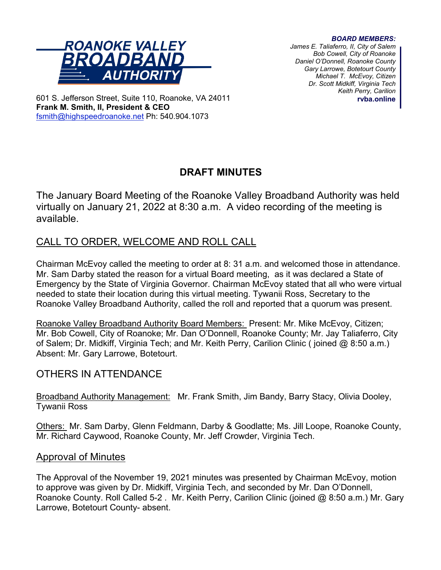#### *BOARD MEMBERS:*



*James E. Taliaferro, II, City of Salem Bob Cowell, City of Roanoke Daniel O'Donnell, Roanoke County Gary Larrowe, Botetourt County Michael T. McEvoy, Citizen Dr. Scott Midkiff, Virginia Tech Keith Perry, Carilion* **rvba.online**

601 S. Jefferson Street, Suite 110, Roanoke, VA 24011 **Frank M. Smith, II, President & CEO** [fsmith@highspeedroanoke.net](mailto:fsmith@highspeedroanoke.net) Ph: 540.904.1073

# **DRAFT MINUTES**

The January Board Meeting of the Roanoke Valley Broadband Authority was held virtually on January 21, 2022 at 8:30 a.m. A video recording of the meeting is available.

# CALL TO ORDER, WELCOME AND ROLL CALL

Chairman McEvoy called the meeting to order at 8: 31 a.m. and welcomed those in attendance. Mr. Sam Darby stated the reason for a virtual Board meeting, as it was declared a State of Emergency by the State of Virginia Governor. Chairman McEvoy stated that all who were virtual needed to state their location during this virtual meeting. Tywanii Ross, Secretary to the Roanoke Valley Broadband Authority, called the roll and reported that a quorum was present.

Roanoke Valley Broadband Authority Board Members: Present: Mr. Mike McEvoy, Citizen; Mr. Bob Cowell, City of Roanoke; Mr. Dan O'Donnell, Roanoke County; Mr. Jay Taliaferro, City of Salem; Dr. Midkiff, Virginia Tech; and Mr. Keith Perry, Carilion Clinic ( joined @ 8:50 a.m.) Absent: Mr. Gary Larrowe, Botetourt.

# OTHERS IN ATTENDANCE

Broadband Authority Management: Mr. Frank Smith, Jim Bandy, Barry Stacy, Olivia Dooley, Tywanii Ross

Others: Mr. Sam Darby, Glenn Feldmann, Darby & Goodlatte; Ms. Jill Loope, Roanoke County, Mr. Richard Caywood, Roanoke County, Mr. Jeff Crowder, Virginia Tech.

## Approval of Minutes

The Approval of the November 19, 2021 minutes was presented by Chairman McEvoy, motion to approve was given by Dr. Midkiff, Virginia Tech, and seconded by Mr. Dan O'Donnell, Roanoke County. Roll Called 5-2 . Mr. Keith Perry, Carilion Clinic (joined @ 8:50 a.m.) Mr. Gary Larrowe, Botetourt County- absent.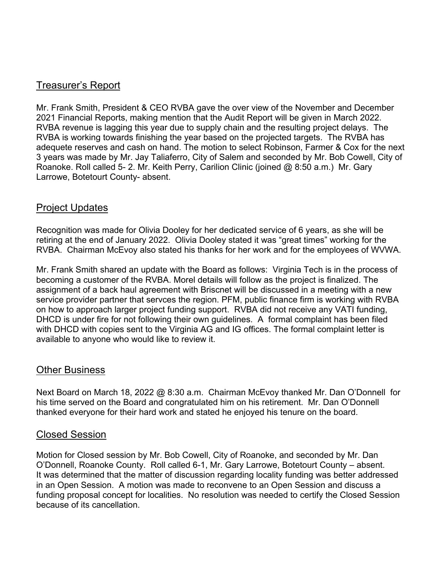# Treasurer's Report

Mr. Frank Smith, President & CEO RVBA gave the over view of the November and December 2021 Financial Reports, making mention that the Audit Report will be given in March 2022. RVBA revenue is lagging this year due to supply chain and the resulting project delays. The RVBA is working towards finishing the year based on the projected targets. The RVBA has adequete reserves and cash on hand. The motion to select Robinson, Farmer & Cox for the next 3 years was made by Mr. Jay Taliaferro, City of Salem and seconded by Mr. Bob Cowell, City of Roanoke. Roll called 5- 2. Mr. Keith Perry, Carilion Clinic (joined @ 8:50 a.m.) Mr. Gary Larrowe, Botetourt County- absent.

# Project Updates

Recognition was made for Olivia Dooley for her dedicated service of 6 years, as she will be retiring at the end of January 2022. Olivia Dooley stated it was "great times" working for the RVBA. Chairman McEvoy also stated his thanks for her work and for the employees of WVWA.

Mr. Frank Smith shared an update with the Board as follows: Virginia Tech is in the process of becoming a customer of the RVBA. Morel details will follow as the project is finalized. The assignment of a back haul agreement with Briscnet will be discussed in a meeting with a new service provider partner that servces the region. PFM, public finance firm is working with RVBA on how to approach larger project funding support. RVBA did not receive any VATI funding, DHCD is under fire for not following their own guidelines. A formal complaint has been filed with DHCD with copies sent to the Virginia AG and IG offices. The formal complaint letter is available to anyone who would like to review it.

## Other Business

Next Board on March 18, 2022 @ 8:30 a.m. Chairman McEvoy thanked Mr. Dan O'Donnell for his time served on the Board and congratulated him on his retirement. Mr. Dan O'Donnell thanked everyone for their hard work and stated he enjoyed his tenure on the board.

## Closed Session

Motion for Closed session by Mr. Bob Cowell, City of Roanoke, and seconded by Mr. Dan O'Donnell, Roanoke County. Roll called 6-1, Mr. Gary Larrowe, Botetourt County – absent. It was determined that the matter of discussion regarding locality funding was better addressed in an Open Session. A motion was made to reconvene to an Open Session and discuss a funding proposal concept for localities. No resolution was needed to certify the Closed Session because of its cancellation.